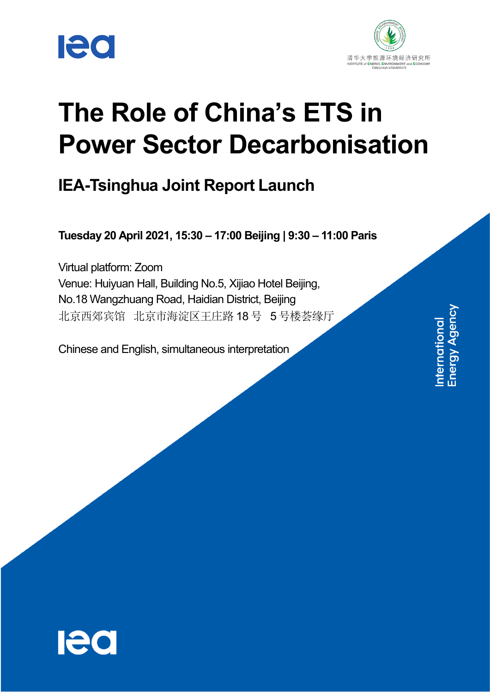



# **The Role of China's ETS in Power Sector Decarbonisation**

## **IEA-Tsinghua Joint Report Launch**

**Tuesday 20 April 2021, 15:30 – 17:00 Beijing | 9:30 – 11:00 Paris**

Virtual platform: Zoom Venue: Huiyuan Hall, Building No.5, Xijiao Hotel Beijing, No.18 Wangzhuang Road, Haidian District, Beijing 北京西郊宾馆 北京市海淀区王庄路 18 号 5 号楼荟缘厅

Chinese and English, simultaneous interpretation

International<br>Energy Agency